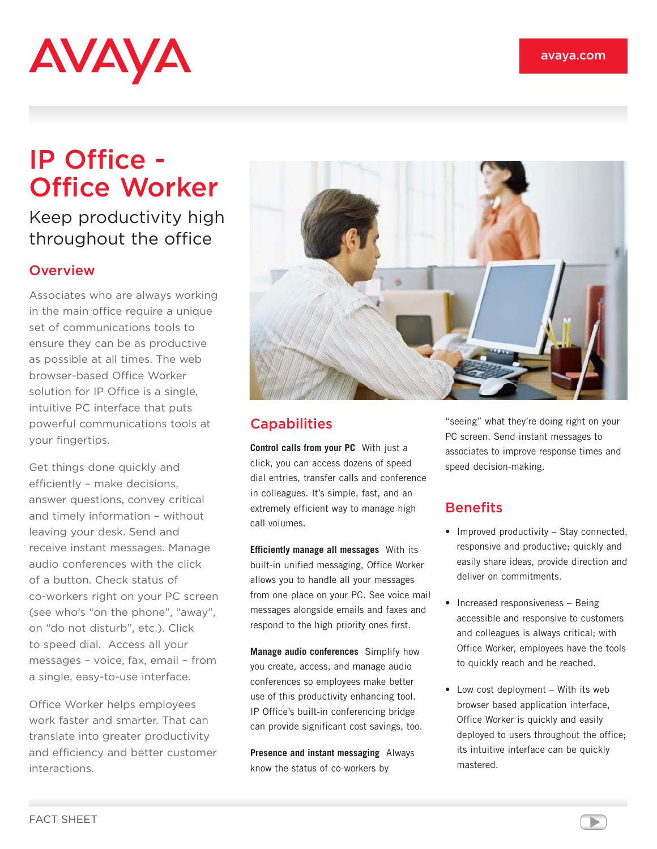# **AVAYA**

## IP Office - Office Worker

### Keep productivity high throughout the office

#### **Overview**

Associates who are always working in the main office require a unique set of communications tools to ensure they can be as productive as possible at all times. The web browser-based Office Worker solution for IP Office is a single, intuitive PC interface that puts powerful communications tools at your fingertips.

Get things done quickly and efficiently – make decisions, answer questions, convey critical and timely information – without leaving your desk. Send and receive instant messages. Manage audio conferences with the click of a button. Check status of co-workers right on your PC screen (see who's "on the phone", "away", on "do not disturb", etc.). Click to speed dial. Access all your messages – voice, fax, email – from a single, easy-to-use interface.

Office Worker helps employees work faster and smarter. That can translate into greater productivity and efficiency and better customer interactions.



#### **Capabilities**

**Control calls from your PC** With just a click, you can access dozens of speed dial entries, transfer calls and conference in colleagues. It's simple, fast, and an extremely efficient way to manage high call volumes.

**Efficiently manage all messages** With its built-in unified messaging, Office Worker allows you to handle all your messages from one place on your PC. See voice mail messages alongside emails and faxes and respond to the high priority ones first.

**Manage audio conferences** Simplify how you create, access, and manage audio conferences so employees make better use of this productivity enhancing tool. IP Office's built-in conferencing bridge can provide significant cost savings, too.

**Presence and instant messaging** Always know the status of co-workers by

"seeing" what they're doing right on your PC screen. Send instant messages to associates to improve response times and speed decision-making.

#### **Benefits**

- Improved productivity Stay connected, responsive and productive; quickly and easily share ideas, provide direction and deliver on commitments.
- Increased responsiveness Being accessible and responsive to customers and colleagues is always critical; with Office Worker, employees have the tools to quickly reach and be reached.
- Low cost deployment With its web browser based application interface, Office Worker is quickly and easily deployed to users throughout the office; its intuitive interface can be quickly mastered.